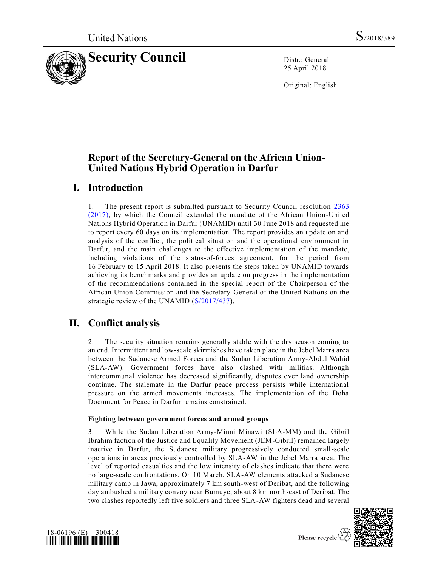

25 April 2018

Original: English

# **Report of the Secretary-General on the African Union-United Nations Hybrid Operation in Darfur**

## **I. Introduction**

1. The present report is submitted pursuant to Security Council resolution [2363](https://undocs.org/S/RES/2363(2017))  [\(2017\),](https://undocs.org/S/RES/2363(2017)) by which the Council extended the mandate of the African Union-United Nations Hybrid Operation in Darfur (UNAMID) until 30 June 2018 and requested me to report every 60 days on its implementation. The report provides an update on and analysis of the conflict, the political situation and the operational environment in Darfur, and the main challenges to the effective implementation of the mandate, including violations of the status-of-forces agreement, for the period from 16 February to 15 April 2018. It also presents the steps taken by UNAMID towards achieving its benchmarks and provides an update on progress in the implementation of the recommendations contained in the special report of the Chairperson of the African Union Commission and the Secretary-General of the United Nations on the strategic review of the UNAMID [\(S/2017/437\)](https://undocs.org/S/2017/437).

# **II. Conflict analysis**

2. The security situation remains generally stable with the dry season coming to an end. Intermittent and low-scale skirmishes have taken place in the Jebel Marra area between the Sudanese Armed Forces and the Sudan Liberation Army-Abdul Wahid (SLA-AW). Government forces have also clashed with militias. Although intercommunal violence has decreased significantly, disputes over land ownership continue. The stalemate in the Darfur peace process persists while international pressure on the armed movements increases. The implementation of the Doha Document for Peace in Darfur remains constrained.

### **Fighting between government forces and armed groups**

3. While the Sudan Liberation Army-Minni Minawi (SLA-MM) and the Gibril Ibrahim faction of the Justice and Equality Movement (JEM-Gibril) remained largely inactive in Darfur, the Sudanese military progressively conducted small-scale operations in areas previously controlled by SLA-AW in the Jebel Marra area. The level of reported casualties and the low intensity of clashes indicate that there were no large-scale confrontations. On 10 March, SLA-AW elements attacked a Sudanese military camp in Jawa, approximately 7 km south-west of Deribat, and the following day ambushed a military convoy near Bumuye, about 8 km north-east of Deribat. The two clashes reportedly left five soldiers and three SLA-AW fighters dead and several



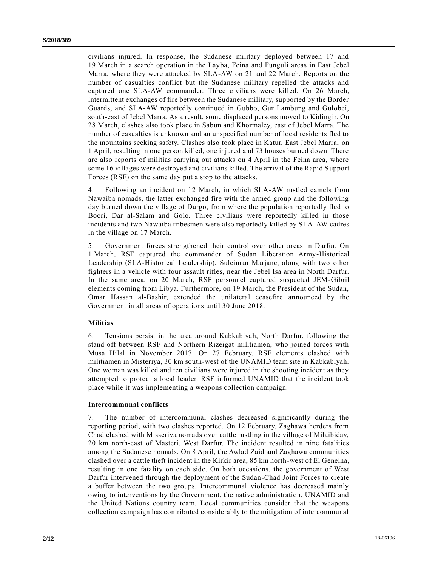civilians injured. In response, the Sudanese military deployed between 17 and 19 March in a search operation in the Layba, Feina and Funguli areas in East Jebel Marra, where they were attacked by SLA-AW on 21 and 22 March. Reports on the number of casualties conflict but the Sudanese military repelled the attacks and captured one SLA-AW commander. Three civilians were killed. On 26 March, intermittent exchanges of fire between the Sudanese military, supported by the Border Guards, and SLA-AW reportedly continued in Gubbo, Gur Lambung and Gulobei, south-east of Jebel Marra. As a result, some displaced persons moved to Kidingir. On 28 March, clashes also took place in Sabun and Khormaley, east of Jebel Marra. The number of casualties is unknown and an unspecified number of local residents fled to the mountains seeking safety. Clashes also took place in Katur, East Jebel Marra, on 1 April, resulting in one person killed, one injured and 73 houses burned down. There are also reports of militias carrying out attacks on 4 April in the Feina area, where some 16 villages were destroyed and civilians killed. The arrival of the Rapid Support Forces (RSF) on the same day put a stop to the attacks.

4. Following an incident on 12 March, in which SLA-AW rustled camels from Nawaiba nomads, the latter exchanged fire with the armed group and the following day burned down the village of Durgo, from where the population reportedly fled to Boori, Dar al-Salam and Golo. Three civilians were reportedly killed in those incidents and two Nawaiba tribesmen were also reportedly killed by SLA-AW cadres in the village on 17 March.

5. Government forces strengthened their control over other areas in Darfur. On 1 March, RSF captured the commander of Sudan Liberation Army-Historical Leadership (SLA-Historical Leadership), Suleiman Marjane, along with two other fighters in a vehicle with four assault rifles, near the Jebel Isa area in North Darfur. In the same area, on 20 March, RSF personnel captured suspected JEM-Gibril elements coming from Libya. Furthermore, on 19 March, the President of the Sudan, Omar Hassan al-Bashir, extended the unilateral ceasefire announced by the Government in all areas of operations until 30 June 2018.

#### **Militias**

6. Tensions persist in the area around Kabkabiyah, North Darfur, following the stand-off between RSF and Northern Rizeigat militiamen, who joined forces with Musa Hilal in November 2017. On 27 February, RSF elements clashed with militiamen in Misteriya, 30 km south-west of the UNAMID team site in Kabkabiyah. One woman was killed and ten civilians were injured in the shooting incident as they attempted to protect a local leader. RSF informed UNAMID that the incident took place while it was implementing a weapons collection campaign.

#### **Intercommunal conflicts**

7. The number of intercommunal clashes decreased significantly during the reporting period, with two clashes reported. On 12 February, Zaghawa herders from Chad clashed with Misseriya nomads over cattle rustling in the village of Milaibiday, 20 km north-east of Masteri, West Darfur. The incident resulted in nine fatalities among the Sudanese nomads. On 8 April, the Awlad Zaid and Zaghawa communities clashed over a cattle theft incident in the Kirkir area, 85 km north-west of El Geneina, resulting in one fatality on each side. On both occasions, the government of West Darfur intervened through the deployment of the Sudan-Chad Joint Forces to create a buffer between the two groups. Intercommunal violence has decreased mainly owing to interventions by the Government, the native administration, UNAMID and the United Nations country team. Local communities consider that the weapons collection campaign has contributed considerably to the mitigation of intercommunal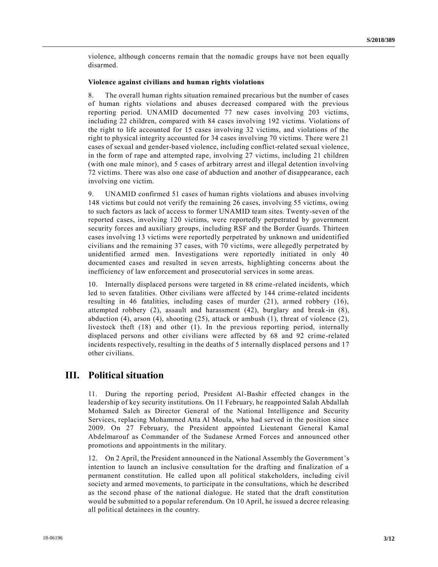violence, although concerns remain that the nomadic groups have not been equally disarmed.

#### **Violence against civilians and human rights violations**

8. The overall human rights situation remained precarious but the number of cases of human rights violations and abuses decreased compared with the previous reporting period. UNAMID documented 77 new cases involving 203 victims, including 22 children, compared with 84 cases involving 192 victims. Violations of the right to life accounted for 15 cases involving 32 victims, and violations of the right to physical integrity accounted for 34 cases involving 70 victims. There were 21 cases of sexual and gender-based violence, including conflict-related sexual violence, in the form of rape and attempted rape, involving 27 victims, including 21 children (with one male minor), and 5 cases of arbitrary arrest and illegal detention involving 72 victims. There was also one case of abduction and another of disappearance, each involving one victim.

9. UNAMID confirmed 51 cases of human rights violations and abuses involving 148 victims but could not verify the remaining 26 cases, involving 55 victims, owing to such factors as lack of access to former UNAMID team sites. Twenty-seven of the reported cases, involving 120 victims, were reportedly perpetrated by government security forces and auxiliary groups, including RSF and the Border Guards. Thirteen cases involving 13 victims were reportedly perpetrated by unknown and unidentified civilians and the remaining 37 cases, with 70 victims, were allegedly perpetrated by unidentified armed men. Investigations were reportedly initiated in only 40 documented cases and resulted in seven arrests, highlighting concerns about the inefficiency of law enforcement and prosecutorial services in some areas.

10. Internally displaced persons were targeted in 88 crime -related incidents, which led to seven fatalities. Other civilians were affected by 144 crime-related incidents resulting in 46 fatalities, including cases of murder (21), armed robbery (16), attempted robbery (2), assault and harassment (42), burglary and break-in (8), abduction (4), arson (4), shooting (25), attack or ambush (1), threat of violence (2), livestock theft (18) and other (1). In the previous reporting period, internally displaced persons and other civilians were affected by 68 and 92 crime -related incidents respectively, resulting in the deaths of 5 internally displaced persons and 17 other civilians.

### **III. Political situation**

11. During the reporting period, President Al-Bashir effected changes in the leadership of key security institutions. On 11 February, he reappointed Salah Abdallah Mohamed Saleh as Director General of the National Intelligence and Security Services, replacing Mohammed Atta Al Moula, who had served in the position since 2009. On 27 February, the President appointed Lieutenant General Kamal Abdelmarouf as Commander of the Sudanese Armed Forces and announced other promotions and appointments in the military.

12. On 2 April, the President announced in the National Assembly the Government's intention to launch an inclusive consultation for the drafting and finalization of a permanent constitution. He called upon all political stakeholders, including civil society and armed movements, to participate in the consultations, which he described as the second phase of the national dialogue. He stated that the draft constitution would be submitted to a popular referendum. On 10 April, he issued a decree releasing all political detainees in the country.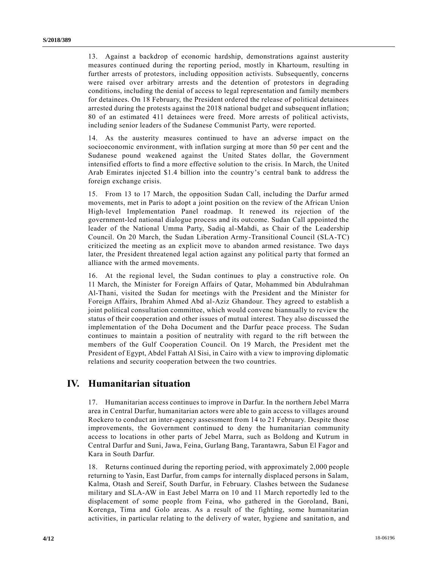13. Against a backdrop of economic hardship, demonstrations against austerity measures continued during the reporting period, mostly in Khartoum, resulting in further arrests of protestors, including opposition activists. Subsequently, concerns were raised over arbitrary arrests and the detention of protestors in degrading conditions, including the denial of access to legal representation and family members for detainees. On 18 February, the President ordered the release of political detainees arrested during the protests against the 2018 national budget and subsequent inflation; 80 of an estimated 411 detainees were freed. More arrests of political activists, including senior leaders of the Sudanese Communist Party, were reported.

14. As the austerity measures continued to have an adverse impact on the socioeconomic environment, with inflation surging at more than 50 per cent and the Sudanese pound weakened against the United States dollar, the Government intensified efforts to find a more effective solution to the crisis. In March, the United Arab Emirates injected \$1.4 billion into the country's central bank to address the foreign exchange crisis.

15. From 13 to 17 March, the opposition Sudan Call, including the Darfur armed movements, met in Paris to adopt a joint position on the review of the African Union High-level Implementation Panel roadmap. It renewed its rejection of the government-led national dialogue process and its outcome. Sudan Call appointed the leader of the National Umma Party, Sadiq al-Mahdi, as Chair of the Leadership Council. On 20 March, the Sudan Liberation Army-Transitional Council (SLA-TC) criticized the meeting as an explicit move to abandon armed resistance. Two days later, the President threatened legal action against any political party that formed an alliance with the armed movements.

16. At the regional level, the Sudan continues to play a constructive role. On 11 March, the Minister for Foreign Affairs of Qatar, Mohammed bin Abdulrahman Al-Thani, visited the Sudan for meetings with the President and the Minister for Foreign Affairs, Ibrahim Ahmed Abd al-Aziz Ghandour. They agreed to establish a joint political consultation committee, which would convene biannually to review the status of their cooperation and other issues of mutual interest. They also discussed the implementation of the Doha Document and the Darfur peace process. The Sudan continues to maintain a position of neutrality with regard to the rift between the members of the Gulf Cooperation Council. On 19 March, the President met the President of Egypt, Abdel Fattah Al Sisi, in Cairo with a view to improving diplomatic relations and security cooperation between the two countries.

### **IV. Humanitarian situation**

17. Humanitarian access continues to improve in Darfur. In the northern Jebel Marra area in Central Darfur, humanitarian actors were able to gain access to villages around Rockero to conduct an inter-agency assessment from 14 to 21 February. Despite those improvements, the Government continued to deny the humanitarian community access to locations in other parts of Jebel Marra, such as Boldong and Kutrum in Central Darfur and Suni, Jawa, Feina, Gurlang Bang, Tarantawra, Sabun El Fagor and Kara in South Darfur.

18. Returns continued during the reporting period, with approximately 2,000 people returning to Yasin, East Darfur, from camps for internally displaced persons in Salam, Kalma, Otash and Sereif, South Darfur, in February. Clashes between the Sudanese military and SLA-AW in East Jebel Marra on 10 and 11 March reportedly led to the displacement of some people from Feina, who gathered in the Goroland, Bani, Korenga, Tima and Golo areas. As a result of the fighting, some humanitarian activities, in particular relating to the delivery of water, hygiene and sanitatio n, and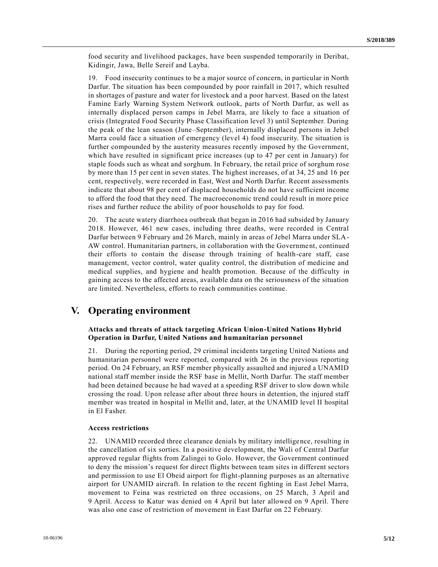food security and livelihood packages, have been suspended temporarily in Deribat, Kidingir, Jawa, Belle Sereif and Layba.

19. Food insecurity continues to be a major source of concern, in particular in North Darfur. The situation has been compounded by poor rainfall in 2017, which resulted in shortages of pasture and water for livestock and a poor harvest. Based on the latest Famine Early Warning System Network outlook, parts of North Darfur, as well as internally displaced person camps in Jebel Marra, are likely to face a situation of crisis (Integrated Food Security Phase Classification level 3) until September. During the peak of the lean season (June–September), internally displaced persons in Jebel Marra could face a situation of emergency (level 4) food insecurity. The situation is further compounded by the austerity measures recently imposed by the Government, which have resulted in significant price increases (up to 47 per cent in January) for staple foods such as wheat and sorghum. In February, the retail price of sorghum rose by more than 15 per cent in seven states. The highest increases, of at 34, 25 and 16 per cent, respectively, were recorded in East, West and North Darfur. Recent assessments indicate that about 98 per cent of displaced households do not have sufficient income to afford the food that they need. The macroeconomic trend could result in more price rises and further reduce the ability of poor households to pay for food.

20. The acute watery diarrhoea outbreak that began in 2016 had subsided by January 2018. However, 461 new cases, including three deaths, were recorded in Central Darfur between 9 February and 26 March, mainly in areas of Jebel Marra under SLA-AW control. Humanitarian partners, in collaboration with the Government, continued their efforts to contain the disease through training of health-care staff, case management, vector control, water quality control, the distribution of medicine and medical supplies, and hygiene and health promotion. Because of the difficulty in gaining access to the affected areas, available data on the seriousness of the situation are limited. Nevertheless, efforts to reach communities continue.

### **V. Operating environment**

### **Attacks and threats of attack targeting African Union-United Nations Hybrid Operation in Darfur, United Nations and humanitarian personnel**

21. During the reporting period, 29 criminal incidents targeting United Nations and humanitarian personnel were reported, compared with 26 in the previous reporting period. On 24 February, an RSF member physically assaulted and injured a UNAMID national staff member inside the RSF base in Mellit, North Darfur. The staff member had been detained because he had waved at a speeding RSF driver to slow down while crossing the road. Upon release after about three hours in detention, the injured staff member was treated in hospital in Mellit and, later, at the UNAMID level II hospital in El Fasher.

#### **Access restrictions**

22. UNAMID recorded three clearance denials by military intelligence, resulting in the cancellation of six sorties. In a positive development, the Wali of Central Darfur approved regular flights from Zalingei to Golo. However, the Government continued to deny the mission's request for direct flights between team sites in different sectors and permission to use El Obeid airport for flight-planning purposes as an alternative airport for UNAMID aircraft. In relation to the recent fighting in East Jebel Marra, movement to Feina was restricted on three occasions, on 25 March, 3 April and 9 April. Access to Katur was denied on 4 April but later allowed on 9 April. There was also one case of restriction of movement in East Darfur on 22 February.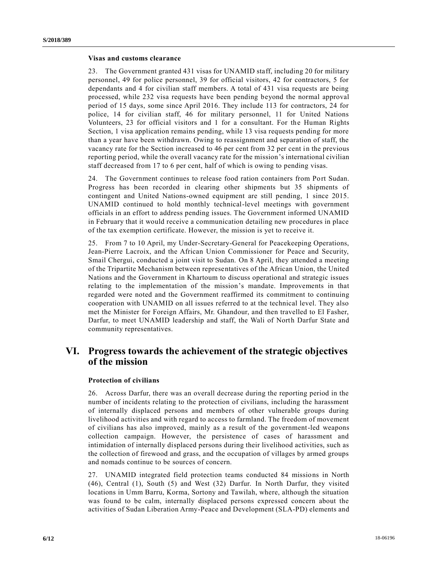#### **Visas and customs clearance**

23. The Government granted 431 visas for UNAMID staff, including 20 for military personnel, 49 for police personnel, 39 for official visitors, 42 for contractors, 5 for dependants and 4 for civilian staff members. A total of 431 visa requests are being processed, while 232 visa requests have been pending beyond the normal approval period of 15 days, some since April 2016. They include 113 for contractors, 24 for police, 14 for civilian staff, 46 for military personnel, 11 for United Nations Volunteers, 23 for official visitors and 1 for a consultant. For the Human Rights Section, 1 visa application remains pending, while 13 visa requests pending for more than a year have been withdrawn. Owing to reassignment and separation of staff, the vacancy rate for the Section increased to 46 per cent from 32 per cent in the previous reporting period, while the overall vacancy rate for the mission's international civilian staff decreased from 17 to 6 per cent, half of which is owing to pending visas.

24. The Government continues to release food ration containers from Port Sudan. Progress has been recorded in clearing other shipments but 35 shipments of contingent and United Nations-owned equipment are still pending, 1 since 2015. UNAMID continued to hold monthly technical-level meetings with government officials in an effort to address pending issues. The Government informed UNAMID in February that it would receive a communication detailing new procedures in place of the tax exemption certificate. However, the mission is yet to receive it.

25. From 7 to 10 April, my Under-Secretary-General for Peacekeeping Operations, Jean-Pierre Lacroix, and the African Union Commissioner for Peace and Security, Smail Chergui, conducted a joint visit to Sudan. On 8 April, they attended a meeting of the Tripartite Mechanism between representatives of the African Union, the United Nations and the Government in Khartoum to discuss operational and strategic issues relating to the implementation of the mission's mandate. Improvements in that regarded were noted and the Government reaffirmed its commitment to continuing cooperation with UNAMID on all issues referred to at the technical level. They also met the Minister for Foreign Affairs, Mr. Ghandour, and then travelled to El Fasher, Darfur, to meet UNAMID leadership and staff, the Wali of North Darfur State and community representatives.

## **VI. Progress towards the achievement of the strategic objectives of the mission**

#### **Protection of civilians**

26. Across Darfur, there was an overall decrease during the reporting period in the number of incidents relating to the protection of civilians, including the harassment of internally displaced persons and members of other vulnerable groups during livelihood activities and with regard to access to farmland. The freedom of movement of civilians has also improved, mainly as a result of the government-led weapons collection campaign. However, the persistence of cases of harassment and intimidation of internally displaced persons during their livelihood activities, such as the collection of firewood and grass, and the occupation of villages by armed groups and nomads continue to be sources of concern.

27. UNAMID integrated field protection teams conducted 84 missions in North (46), Central (1), South (5) and West (32) Darfur. In North Darfur, they visited locations in Umm Barru, Korma, Sortony and Tawilah, where, although the situation was found to be calm, internally displaced persons expressed concern about the activities of Sudan Liberation Army-Peace and Development (SLA-PD) elements and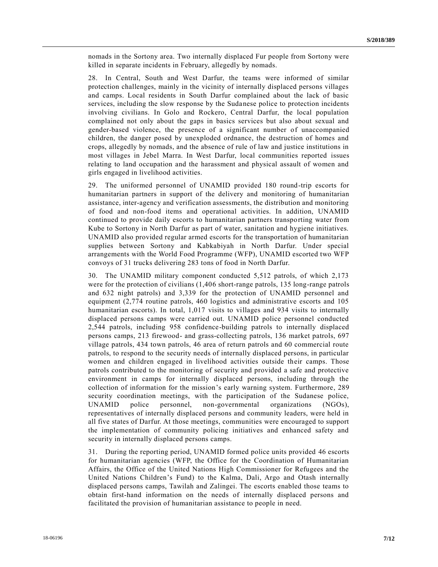nomads in the Sortony area. Two internally displaced Fur people from Sortony were killed in separate incidents in February, allegedly by nomads.

28. In Central, South and West Darfur, the teams were informed of similar protection challenges, mainly in the vicinity of internally displaced persons villages and camps. Local residents in South Darfur complained about the lack of basic services, including the slow response by the Sudanese police to protection incidents involving civilians. In Golo and Rockero, Central Darfur, the local population complained not only about the gaps in basics services but also about sexual and gender-based violence, the presence of a significant number of unaccompanied children, the danger posed by unexploded ordnance, the destruction of homes and crops, allegedly by nomads, and the absence of rule of law and justice institutions in most villages in Jebel Marra. In West Darfur, local communities reported issues relating to land occupation and the harassment and physical assault of women and girls engaged in livelihood activities.

29. The uniformed personnel of UNAMID provided 180 round-trip escorts for humanitarian partners in support of the delivery and monitoring of humanitarian assistance, inter-agency and verification assessments, the distribution and monitoring of food and non-food items and operational activities. In addition, UNAMID continued to provide daily escorts to humanitarian partners transporting water from Kube to Sortony in North Darfur as part of water, sanitation and hygiene initiatives. UNAMID also provided regular armed escorts for the transportation of humanitarian supplies between Sortony and Kabkabiyah in North Darfur. Under special arrangements with the World Food Programme (WFP), UNAMID escorted two WFP convoys of 31 trucks delivering 283 tons of food in North Darfur.

30. The UNAMID military component conducted 5,512 patrols, of which 2,173 were for the protection of civilians (1,406 short-range patrols, 135 long-range patrols and 632 night patrols) and 3,339 for the protection of UNAMID personnel and equipment (2,774 routine patrols, 460 logistics and administrative escorts and 105 humanitarian escorts). In total, 1,017 visits to villages and 934 visits to internally displaced persons camps were carried out. UNAMID police personnel conducted 2,544 patrols, including 958 confidence-building patrols to internally displaced persons camps, 213 firewood- and grass-collecting patrols, 136 market patrols, 697 village patrols, 434 town patrols, 46 area of return patrols and 60 commercial route patrols, to respond to the security needs of internally displaced persons, in particular women and children engaged in livelihood activities outside their camps. Those patrols contributed to the monitoring of security and provided a safe and protective environment in camps for internally displaced persons, including through the collection of information for the mission's early warning system. Furthermore, 289 security coordination meetings, with the participation of the Sudanese police, UNAMID police personnel, non-governmental organizations (NGOs), representatives of internally displaced persons and community leaders, were held in all five states of Darfur. At those meetings, communities were encouraged to support the implementation of community policing initiatives and enhanced safety and security in internally displaced persons camps.

31. During the reporting period, UNAMID formed police units provided 46 escorts for humanitarian agencies (WFP, the Office for the Coordination of Humanitarian Affairs, the Office of the United Nations High Commissioner for Refugees and the United Nations Children's Fund) to the Kalma, Dali, Argo and Otash internally displaced persons camps, Tawilah and Zalingei. The escorts enabled those teams to obtain first-hand information on the needs of internally displaced persons and facilitated the provision of humanitarian assistance to people in need.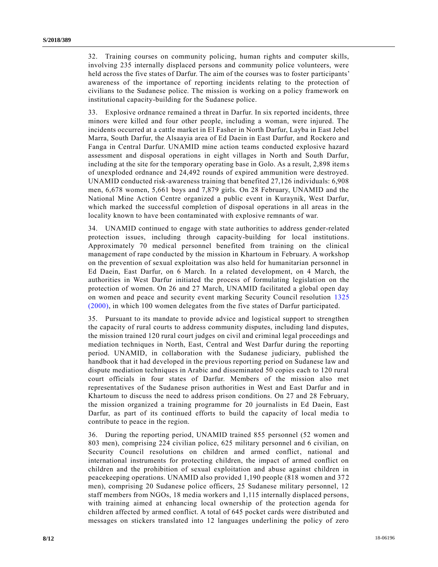32. Training courses on community policing, human rights and computer skills, involving 235 internally displaced persons and community police volunteers, were held across the five states of Darfur. The aim of the courses was to foster participants' awareness of the importance of reporting incidents relating to the protection of civilians to the Sudanese police. The mission is working on a policy framework on institutional capacity-building for the Sudanese police.

33. Explosive ordnance remained a threat in Darfur. In six reported incidents, three minors were killed and four other people, including a woman, were injured. The incidents occurred at a cattle market in El Fasher in North Darfur, Layba in East Jebel Marra, South Darfur, the Alsaayia area of Ed Daein in East Darfur, and Rockero and Fanga in Central Darfur. UNAMID mine action teams conducted explosive hazard assessment and disposal operations in eight villages in North and South Darfur, including at the site for the temporary operating base in Golo. As a result, 2,898 items of unexploded ordnance and 24,492 rounds of expired ammunition were destroyed. UNAMID conducted risk-awareness training that benefited 27,126 individuals: 6,908 men, 6,678 women, 5,661 boys and 7,879 girls. On 28 February, UNAMID and the National Mine Action Centre organized a public event in Kuraynik, West Darfur, which marked the successful completion of disposal operations in all areas in the locality known to have been contaminated with explosive remnants of war.

34. UNAMID continued to engage with state authorities to address gender-related protection issues, including through capacity-building for local institutions. Approximately 70 medical personnel benefited from training on the clinical management of rape conducted by the mission in Khartoum in February. A workshop on the prevention of sexual exploitation was also held for humanitarian personnel in Ed Daein, East Darfur, on 6 March. In a related development, on 4 March, the authorities in West Darfur initiated the process of formulating legislation on the protection of women. On 26 and 27 March, UNAMID facilitated a global open day on women and peace and security event marking Security Council resolution [1325](https://undocs.org/S/RES/1325(2000))  [\(2000\),](https://undocs.org/S/RES/1325(2000)) in which 100 women delegates from the five states of Darfur participated.

35. Pursuant to its mandate to provide advice and logistical support to strengthen the capacity of rural courts to address community disputes, including land disputes, the mission trained 120 rural court judges on civil and criminal legal proceedings and mediation techniques in North, East, Central and West Darfur during the reporting period. UNAMID, in collaboration with the Sudanese judiciary, published the handbook that it had developed in the previous reporting period on Sudanese law and dispute mediation techniques in Arabic and disseminated 50 copies each to 120 rural court officials in four states of Darfur. Members of the mission also met representatives of the Sudanese prison authorities in West and East Darfur and in Khartoum to discuss the need to address prison conditions. On 27 and 28 February, the mission organized a training programme for 20 journalists in Ed Daein, East Darfur, as part of its continued efforts to build the capacity of local media to contribute to peace in the region.

36. During the reporting period, UNAMID trained 855 personnel (52 women and 803 men), comprising 224 civilian police, 625 military personnel and 6 civilian, on Security Council resolutions on children and armed conflict, national and international instruments for protecting children, the impact of armed conflict on children and the prohibition of sexual exploitation and abuse against children in peacekeeping operations. UNAMID also provided 1,190 people (818 women and 372 men), comprising 20 Sudanese police officers, 25 Sudanese military personnel, 12 staff members from NGOs, 18 media workers and 1,115 internally displaced persons, with training aimed at enhancing local ownership of the protection agenda for children affected by armed conflict. A total of 645 pocket cards were distributed and messages on stickers translated into 12 languages underlining the policy of zero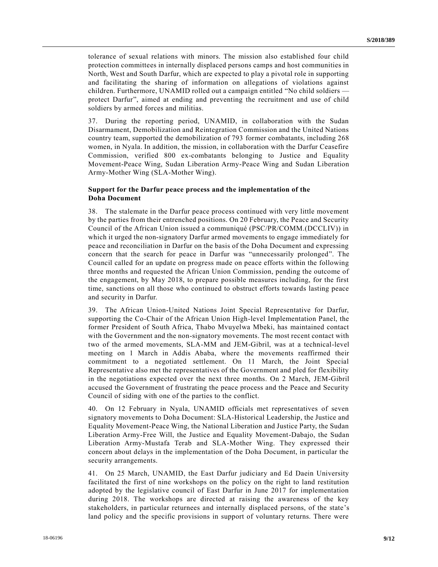tolerance of sexual relations with minors. The mission also established four child protection committees in internally displaced persons camps and host communities in North, West and South Darfur, which are expected to play a pivotal role in supporting and facilitating the sharing of information on allegations of violations against children. Furthermore, UNAMID rolled out a campaign entitled "No child soldiers protect Darfur", aimed at ending and preventing the recruitment and use of child soldiers by armed forces and militias.

37. During the reporting period, UNAMID, in collaboration with the Sudan Disarmament, Demobilization and Reintegration Commission and the United Nations country team, supported the demobilization of 793 former combatants, including 268 women, in Nyala. In addition, the mission, in collaboration with the Darfur Ceasefire Commission, verified 800 ex-combatants belonging to Justice and Equality Movement-Peace Wing, Sudan Liberation Army-Peace Wing and Sudan Liberation Army-Mother Wing (SLA-Mother Wing).

### **Support for the Darfur peace process and the implementation of the Doha Document**

38. The stalemate in the Darfur peace process continued with very little movement by the parties from their entrenched positions. On 20 February, the Peace and Security Council of the African Union issued a communiqué (PSC/PR/COMM.(DCCLIV)) in which it urged the non-signatory Darfur armed movements to engage immediately for peace and reconciliation in Darfur on the basis of the Doha Document and expressing concern that the search for peace in Darfur was "unnecessarily prolonged". The Council called for an update on progress made on peace efforts within the following three months and requested the African Union Commission, pending the outcome of the engagement, by May 2018, to prepare possible measures including, for the first time, sanctions on all those who continued to obstruct efforts towards lasting peace and security in Darfur.

39. The African Union-United Nations Joint Special Representative for Darfur, supporting the Co-Chair of the African Union High-level Implementation Panel, the former President of South Africa, Thabo Mvuyelwa Mbeki, has maintained contact with the Government and the non-signatory movements. The most recent contact with two of the armed movements, SLA-MM and JEM-Gibril, was at a technical-level meeting on 1 March in Addis Ababa, where the movements reaffirmed their commitment to a negotiated settlement. On 11 March, the Joint Special Representative also met the representatives of the Government and pled for flexibility in the negotiations expected over the next three months. On 2 March, JEM-Gibril accused the Government of frustrating the peace process and the Peace and Security Council of siding with one of the parties to the conflict.

40. On 12 February in Nyala, UNAMID officials met representatives of seven signatory movements to Doha Document: SLA-Historical Leadership, the Justice and Equality Movement-Peace Wing, the National Liberation and Justice Party, the Sudan Liberation Army-Free Will, the Justice and Equality Movement-Dabajo, the Sudan Liberation Army-Mustafa Terab and SLA-Mother Wing. They expressed their concern about delays in the implementation of the Doha Document, in particular the security arrangements.

41. On 25 March, UNAMID, the East Darfur judiciary and Ed Daein University facilitated the first of nine workshops on the policy on the right to land restitution adopted by the legislative council of East Darfur in June 2017 for implementation during 2018. The workshops are directed at raising the awareness of the key stakeholders, in particular returnees and internally displaced persons, of the state's land policy and the specific provisions in support of voluntary returns. There were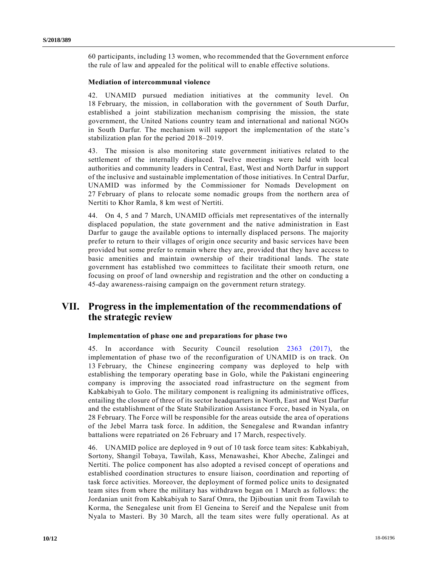60 participants, including 13 women, who recommended that the Government enforce the rule of law and appealed for the political will to enable effective solutions.

### **Mediation of intercommunal violence**

42. UNAMID pursued mediation initiatives at the community level. On 18 February, the mission, in collaboration with the government of South Darfur, established a joint stabilization mechanism comprising the mission, the state government, the United Nations country team and international and national NGOs in South Darfur. The mechanism will support the implementation of the state 's stabilization plan for the period 2018–2019.

43. The mission is also monitoring state government initiatives related to the settlement of the internally displaced. Twelve meetings were held with local authorities and community leaders in Central, East, West and North Darfur in support of the inclusive and sustainable implementation of those initiatives. In Central Darfur, UNAMID was informed by the Commissioner for Nomads Development on 27 February of plans to relocate some nomadic groups from the northern area of Nertiti to Khor Ramla, 8 km west of Nertiti.

44. On 4, 5 and 7 March, UNAMID officials met representatives of the internally displaced population, the state government and the native administration in East Darfur to gauge the available options to internally displaced persons. The majority prefer to return to their villages of origin once security and basic services have been provided but some prefer to remain where they are, provided that they have access to basic amenities and maintain ownership of their traditional lands. The state government has established two committees to facilitate their smooth return, one focusing on proof of land ownership and registration and the other on conducting a 45-day awareness-raising campaign on the government return strategy.

## **VII. Progress in the implementation of the recommendations of the strategic review**

#### **Implementation of phase one and preparations for phase two**

45. In accordance with Security Council resolution [2363 \(2017\),](https://undocs.org/S/RES/2363(2017)) the implementation of phase two of the reconfiguration of UNAMID is on track. On 13 February, the Chinese engineering company was deployed to help with establishing the temporary operating base in Golo, while the Pakistani engineering company is improving the associated road infrastructure on the segment from Kabkabiyah to Golo. The military component is realigning its administrative offices, entailing the closure of three of its sector headquarters in North, East and West Darfur and the establishment of the State Stabilization Assistance Force, based in Nyala, on 28 February. The Force will be responsible for the areas outside the area of operations of the Jebel Marra task force. In addition, the Senegalese and Rwandan infantry battalions were repatriated on 26 February and 17 March, respectively.

46. UNAMID police are deployed in 9 out of 10 task force team sites: Kabkabiyah, Sortony, Shangil Tobaya, Tawilah, Kass, Menawashei, Khor Abeche, Zalingei and Nertiti. The police component has also adopted a revised concept of operations and established coordination structures to ensure liaison, coordination and reporting of task force activities. Moreover, the deployment of formed police units to designated team sites from where the military has withdrawn began on 1 March as follows: the Jordanian unit from Kabkabiyah to Saraf Omra, the Djiboutian unit from Tawilah to Korma, the Senegalese unit from El Geneina to Sereif and the Nepalese unit from Nyala to Masteri. By 30 March, all the team sites were fully operational. As at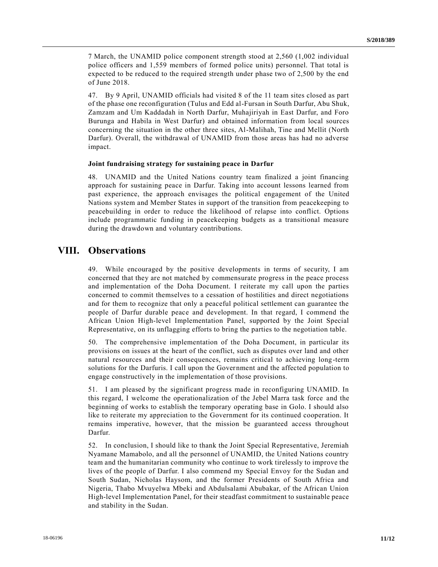7 March, the UNAMID police component strength stood at 2,560 (1,002 individual police officers and 1,559 members of formed police units) personnel. That total is expected to be reduced to the required strength under phase two of 2,500 by the end of June 2018.

47. By 9 April, UNAMID officials had visited 8 of the 11 team sites closed as part of the phase one reconfiguration (Tulus and Edd al-Fursan in South Darfur, Abu Shuk, Zamzam and Um Kaddadah in North Darfur, Muhajiriyah in East Darfur, and Foro Burunga and Habila in West Darfur) and obtained information from local sources concerning the situation in the other three sites, Al-Malihah, Tine and Mellit (North Darfur). Overall, the withdrawal of UNAMID from those areas has had no adverse impact.

#### **Joint fundraising strategy for sustaining peace in Darfur**

48. UNAMID and the United Nations country team finalized a joint financing approach for sustaining peace in Darfur. Taking into account lessons learned from past experience, the approach envisages the political engagement of the United Nations system and Member States in support of the transition from peacekeeping to peacebuilding in order to reduce the likelihood of relapse into conflict. Options include programmatic funding in peacekeeping budgets as a transitional measure during the drawdown and voluntary contributions.

### **VIII. Observations**

49. While encouraged by the positive developments in terms of security, I am concerned that they are not matched by commensurate progress in the peace process and implementation of the Doha Document. I reiterate my call upon the parties concerned to commit themselves to a cessation of hostilities and direct negotiations and for them to recognize that only a peaceful political settlement can guarantee the people of Darfur durable peace and development. In that regard, I commend the African Union High-level Implementation Panel, supported by the Joint Special Representative, on its unflagging efforts to bring the parties to the negotiation table.

50. The comprehensive implementation of the Doha Document, in particular its provisions on issues at the heart of the conflict, such as disputes over land and other natural resources and their consequences, remains critical to achieving long-term solutions for the Darfuris. I call upon the Government and the affected population to engage constructively in the implementation of those provisions.

51. I am pleased by the significant progress made in reconfiguring UNAMID. In this regard, I welcome the operationalization of the Jebel Marra task force and the beginning of works to establish the temporary operating base in Golo. I should also like to reiterate my appreciation to the Government for its continued cooperation. It remains imperative, however, that the mission be guaranteed access throughout Darfur.

52. In conclusion, I should like to thank the Joint Special Representative, Jeremiah Nyamane Mamabolo, and all the personnel of UNAMID, the United Nations country team and the humanitarian community who continue to work tirelessly to improve the lives of the people of Darfur. I also commend my Special Envoy for the Sudan and South Sudan, Nicholas Haysom, and the former Presidents of South Africa and Nigeria, Thabo Mvuyelwa Mbeki and Abdulsalami Abubakar, of the African Union High-level Implementation Panel, for their steadfast commitment to sustainable peace and stability in the Sudan.